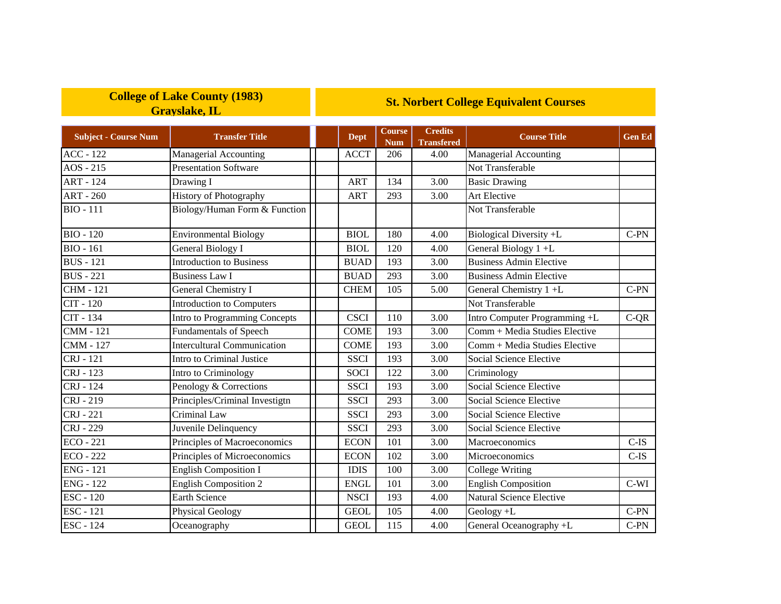## **College of Lake County (1983) Grayslake, IL**

## **St. Norbert College Equivalent Courses**

| <b>Subject - Course Num</b> | <b>Transfer Title</b>              | <b>Dept</b> | Course<br><b>Num</b> | <b>Credits</b><br><b>Transfered</b> | <b>Course Title</b>            | <b>Gen Ed</b> |
|-----------------------------|------------------------------------|-------------|----------------------|-------------------------------------|--------------------------------|---------------|
| <b>ACC - 122</b>            | Managerial Accounting              | <b>ACCT</b> | 206                  | 4.00                                | <b>Managerial Accounting</b>   |               |
| $AOS - 215$                 | <b>Presentation Software</b>       |             |                      |                                     | Not Transferable               |               |
| <b>ART - 124</b>            | Drawing I                          | <b>ART</b>  | 134                  | 3.00                                | <b>Basic Drawing</b>           |               |
| <b>ART - 260</b>            | <b>History of Photography</b>      | <b>ART</b>  | 293                  | 3.00                                | Art Elective                   |               |
| <b>BIO - 111</b>            | Biology/Human Form & Function      |             |                      |                                     | Not Transferable               |               |
| <b>BIO - 120</b>            | <b>Environmental Biology</b>       | <b>BIOL</b> | 180                  | 4.00                                | Biological Diversity +L        | C-PN          |
| <b>BIO</b> - 161            | General Biology I                  | <b>BIOL</b> | 120                  | 4.00                                | General Biology 1+L            |               |
| <b>BUS</b> - 121            | <b>Introduction to Business</b>    | <b>BUAD</b> | 193                  | 3.00                                | <b>Business Admin Elective</b> |               |
| <b>BUS</b> - 221            | <b>Business Law I</b>              | <b>BUAD</b> | 293                  | 3.00                                | <b>Business Admin Elective</b> |               |
| <b>CHM - 121</b>            | <b>General Chemistry I</b>         | <b>CHEM</b> | 105                  | 5.00                                | General Chemistry 1+L          | $C-PN$        |
| CIT - 120                   | <b>Introduction to Computers</b>   |             |                      |                                     | Not Transferable               |               |
| CIT - 134                   | Intro to Programming Concepts      | <b>CSCI</b> | 110                  | 3.00                                | Intro Computer Programming +L  | $C-QR$        |
| $CMM - 121$                 | Fundamentals of Speech             | <b>COME</b> | 193                  | 3.00                                | Comm + Media Studies Elective  |               |
| <b>CMM - 127</b>            | <b>Intercultural Communication</b> | <b>COME</b> | 193                  | 3.00                                | Comm + Media Studies Elective  |               |
| CRJ - 121                   | Intro to Criminal Justice          | <b>SSCI</b> | 193                  | 3.00                                | Social Science Elective        |               |
| CRJ - 123                   | Intro to Criminology               | <b>SOCI</b> | 122                  | 3.00                                | Criminology                    |               |
| CRJ - 124                   | Penology & Corrections             | <b>SSCI</b> | 193                  | 3.00                                | Social Science Elective        |               |
| CRJ - 219                   | Principles/Criminal Investigtn     | <b>SSCI</b> | 293                  | 3.00                                | Social Science Elective        |               |
| CRJ - 221                   | Criminal Law                       | <b>SSCI</b> | 293                  | 3.00                                | Social Science Elective        |               |
| CRJ - 229                   | Juvenile Delinquency               | <b>SSCI</b> | 293                  | 3.00                                | Social Science Elective        |               |
| $ECO - 221$                 | Principles of Macroeconomics       | <b>ECON</b> | 101                  | 3.00                                | Macroeconomics                 | $C-IS$        |
| <b>ECO - 222</b>            | Principles of Microeconomics       | <b>ECON</b> | 102                  | 3.00                                | Microeconomics                 | $C-IS$        |
| $ENG - 121$                 | <b>English Composition I</b>       | <b>IDIS</b> | 100                  | 3.00                                | <b>College Writing</b>         |               |
| <b>ENG - 122</b>            | <b>English Composition 2</b>       | <b>ENGL</b> | 101                  | 3.00                                | <b>English Composition</b>     | $C-WI$        |
| <b>ESC - 120</b>            | <b>Earth Science</b>               | <b>NSCI</b> | 193                  | 4.00                                | Natural Science Elective       |               |
| <b>ESC</b> - 121            | <b>Physical Geology</b>            | <b>GEOL</b> | 105                  | 4.00                                | Geology +L                     | $C-PN$        |
| <b>ESC - 124</b>            | Oceanography                       | <b>GEOL</b> | 115                  | 4.00                                | General Oceanography +L        | $C-PN$        |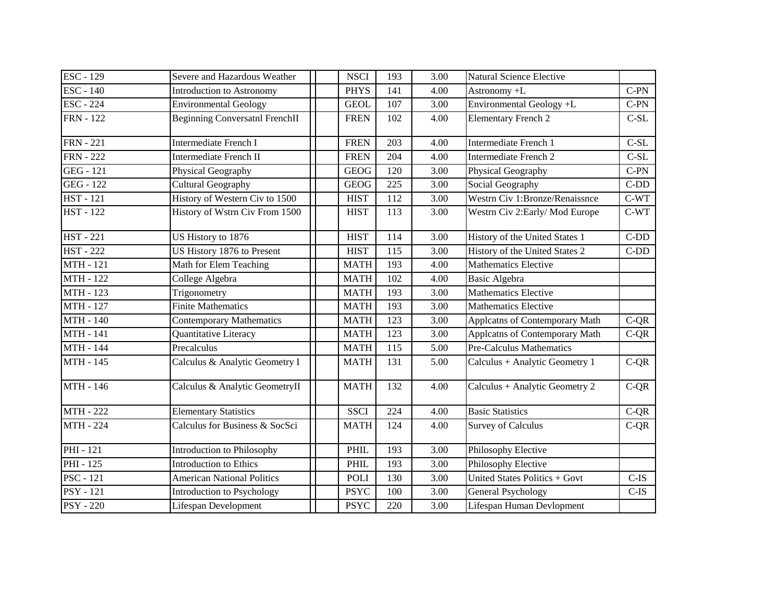| <b>ESC - 129</b> | Severe and Hazardous Weather      | <b>NSCI</b> | 193              | 3.00 | Natural Science Elective        |         |
|------------------|-----------------------------------|-------------|------------------|------|---------------------------------|---------|
| <b>ESC - 140</b> | <b>Introduction to Astronomy</b>  | <b>PHYS</b> | 141              | 4.00 | Astronomy +L                    | $C-PN$  |
| <b>ESC - 224</b> | <b>Environmental Geology</b>      | <b>GEOL</b> | 107              | 3.00 | Environmental Geology +L        | $C-PN$  |
| <b>FRN</b> - 122 | Beginning Conversatnl FrenchII    | <b>FREN</b> | 102              | 4.00 | <b>Elementary French 2</b>      | $C-SL$  |
| <b>FRN</b> - 221 | <b>Intermediate French I</b>      | <b>FREN</b> | 203              | 4.00 | Intermediate French 1           | $C-SL$  |
| <b>FRN</b> - 222 | <b>Intermediate French II</b>     | <b>FREN</b> | 204              | 4.00 | Intermediate French 2           | $C-SL$  |
| GEG - 121        | Physical Geography                | <b>GEOG</b> | 120              | 3.00 | Physical Geography              | $C-PN$  |
| GEG - 122        | <b>Cultural Geography</b>         | <b>GEOG</b> | 225              | 3.00 | Social Geography                | $C-DD$  |
| <b>HST</b> - 121 | History of Western Civ to 1500    | <b>HIST</b> | 112              | 3.00 | Westrn Civ 1:Bronze/Renaissnce  | $C-WT$  |
| <b>HST</b> - 122 | History of Wstrn Civ From 1500    | <b>HIST</b> | 113              | 3.00 | Westrn Civ 2: Early/Mod Europe  | $C-WT$  |
| <b>HST</b> - 221 | US History to 1876                | <b>HIST</b> | 114              | 3.00 | History of the United States 1  | $C-DD$  |
| <b>HST</b> - 222 | US History 1876 to Present        | <b>HIST</b> | 115              | 3.00 | History of the United States 2  | $C-DD$  |
| <b>MTH</b> - 121 | Math for Elem Teaching            | <b>MATH</b> | 193              | 4.00 | <b>Mathematics Elective</b>     |         |
| <b>MTH - 122</b> | College Algebra                   | <b>MATH</b> | 102              | 4.00 | <b>Basic Algebra</b>            |         |
| <b>MTH - 123</b> | Trigonometry                      | <b>MATH</b> | 193              | 3.00 | Mathematics Elective            |         |
| <b>MTH - 127</b> | <b>Finite Mathematics</b>         | <b>MATH</b> | 193              | 3.00 | <b>Mathematics Elective</b>     |         |
| <b>MTH - 140</b> | <b>Contemporary Mathematics</b>   | <b>MATH</b> | 123              | 3.00 | Applcatns of Contemporary Math  | $C-QR$  |
| <b>MTH - 141</b> | Quantitative Literacy             | <b>MATH</b> | 123              | 3.00 | Applcatns of Contemporary Math  | $C-QR$  |
| <b>MTH - 144</b> | Precalculus                       | <b>MATH</b> | 115              | 5.00 | <b>Pre-Calculus Mathematics</b> |         |
| <b>MTH - 145</b> | Calculus & Analytic Geometry I    | <b>MATH</b> | 131              | 5.00 | Calculus + Analytic Geometry 1  | $C-QR$  |
| <b>MTH - 146</b> | Calculus & Analytic GeometryII    | <b>MATH</b> | 132              | 4.00 | Calculus + Analytic Geometry 2  | $C-QR$  |
| <b>MTH - 222</b> | <b>Elementary Statistics</b>      | <b>SSCI</b> | $\overline{224}$ | 4.00 | <b>Basic Statistics</b>         | $C-QR$  |
| <b>MTH - 224</b> | Calculus for Business & SocSci    | <b>MATH</b> | 124              | 4.00 | <b>Survey of Calculus</b>       | $C-QR$  |
| PHI - 121        | Introduction to Philosophy        | <b>PHIL</b> | 193              | 3.00 | Philosophy Elective             |         |
| <b>PHI</b> - 125 | <b>Introduction to Ethics</b>     | PHIL        | 193              | 3.00 | Philosophy Elective             |         |
| <b>PSC</b> - 121 | <b>American National Politics</b> | <b>POLI</b> | 130              | 3.00 | United States Politics + Govt   | $C$ -IS |
| <b>PSY</b> - 121 | Introduction to Psychology        | <b>PSYC</b> | 100              | 3.00 | General Psychology              | $C$ -IS |
| <b>PSY</b> - 220 | Lifespan Development              | <b>PSYC</b> | 220              | 3.00 | Lifespan Human Devlopment       |         |